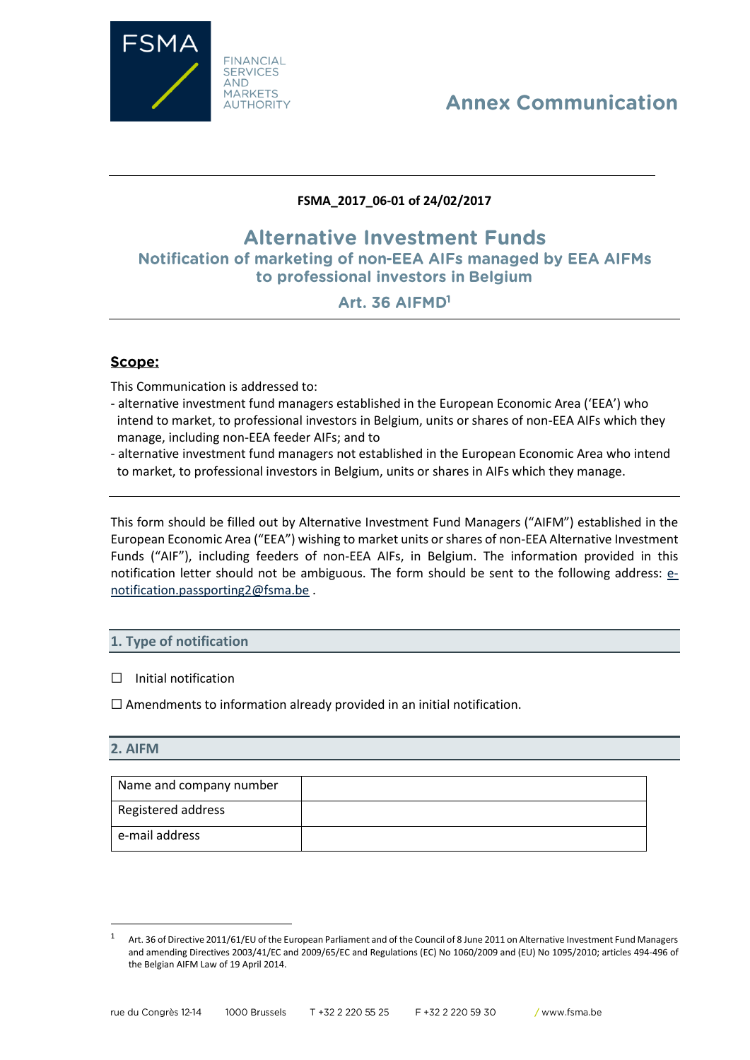

# **Annex Communication**

## **FSMA\_2017\_06-01 of 24/02/2017**

## **Alternative Investment Funds** Notification of marketing of non-EEA AIFs managed by EEA AIFMs to professional investors in Belgium

## Art. 36 AIFMD<sup>1</sup>

## Scope:

This Communication is addressed to:

- alternative investment fund managers established in the European Economic Area ('EEA') who intend to market, to professional investors in Belgium, units or shares of non-EEA AIFs which they manage, including non-EEA feeder AIFs; and to
- alternative investment fund managers not established in the European Economic Area who intend to market, to professional investors in Belgium, units or shares in AIFs which they manage.

This form should be filled out by Alternative Investment Fund Managers ("AIFM") established in the European Economic Area ("EEA") wishing to market units or shares of non-EEA Alternative Investment Funds ("AIF"), including feeders of non-EEA AIFs, in Belgium. The information provided in this notification letter should not be ambiguous. The form should be sent to the following address: [e](mailto:e-notification.passporting2@fsma.be)[notification.passporting2@fsma.be](mailto:e-notification.passporting2@fsma.be) .

### **1. Type of notification**

#### □ Initial notification

 $\Box$  Amendments to information already provided in an initial notification.

#### **2. AIFM**

 $\overline{\phantom{a}}$ 

| Name and company number |  |
|-------------------------|--|
| Registered address      |  |
| e-mail address          |  |

Art. 36 of Directive 2011/61/EU of the European Parliament and of the Council of 8 June 2011 on Alternative Investment Fund Managers and amending Directives 2003/41/EC and 2009/65/EC and Regulations (EC) No 1060/2009 and (EU) No 1095/2010; articles 494-496 of the Belgian AIFM Law of 19 April 2014.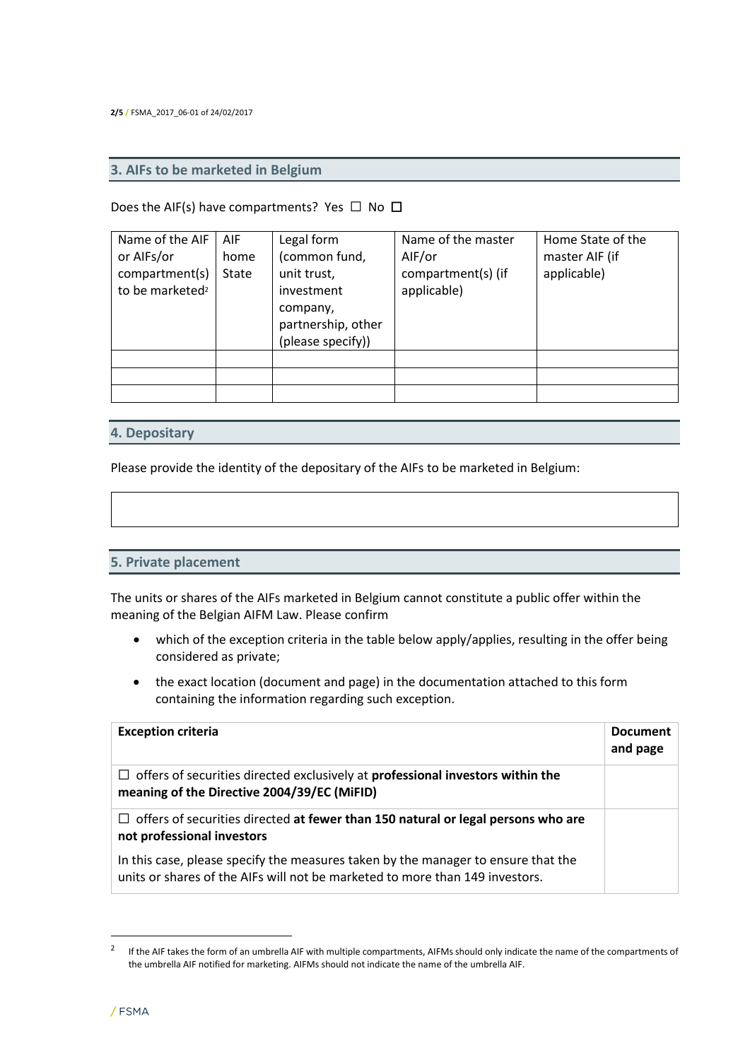**2/5 /** FSMA\_2017\_06-01 of 24/02/2017

#### **3. AIFs to be marketed in Belgium**

#### Does the AIF(s) have compartments? Yes  $\Box$  No  $\Box$

| Name of the AIF<br>or AIFs/or<br>compartment(s)<br>to be marketed <sup>2</sup> | <b>AIF</b><br>home<br>State | Legal form<br>(common fund,<br>unit trust,<br>investment<br>company,<br>partnership, other<br>(please specify)) | Name of the master<br>AIF/or<br>compartment(s) (if<br>applicable) | Home State of the<br>master AIF (if<br>applicable) |
|--------------------------------------------------------------------------------|-----------------------------|-----------------------------------------------------------------------------------------------------------------|-------------------------------------------------------------------|----------------------------------------------------|
|                                                                                |                             |                                                                                                                 |                                                                   |                                                    |

#### **4. Depositary**

Please provide the identity of the depositary of the AIFs to be marketed in Belgium:

#### **5. Private placement**

The units or shares of the AIFs marketed in Belgium cannot constitute a public offer within the meaning of the Belgian AIFM Law. Please confirm

- which of the exception criteria in the table below apply/applies, resulting in the offer being considered as private;
- the exact location (document and page) in the documentation attached to this form containing the information regarding such exception.

| <b>Exception criteria</b>                                                                                                                                         | <b>Document</b><br>and page |
|-------------------------------------------------------------------------------------------------------------------------------------------------------------------|-----------------------------|
| $\Box$ offers of securities directed exclusively at <b>professional investors within the</b><br>meaning of the Directive 2004/39/EC (MiFID)                       |                             |
| $\Box$ offers of securities directed at fewer than 150 natural or legal persons who are<br>not professional investors                                             |                             |
| In this case, please specify the measures taken by the manager to ensure that the<br>units or shares of the AIFs will not be marketed to more than 149 investors. |                             |

 $\overline{\phantom{a}}$ 

<sup>2</sup> If the AIF takes the form of an umbrella AIF with multiple compartments, AIFMs should only indicate the name of the compartments of the umbrella AIF notified for marketing. AIFMs should not indicate the name of the umbrella AIF.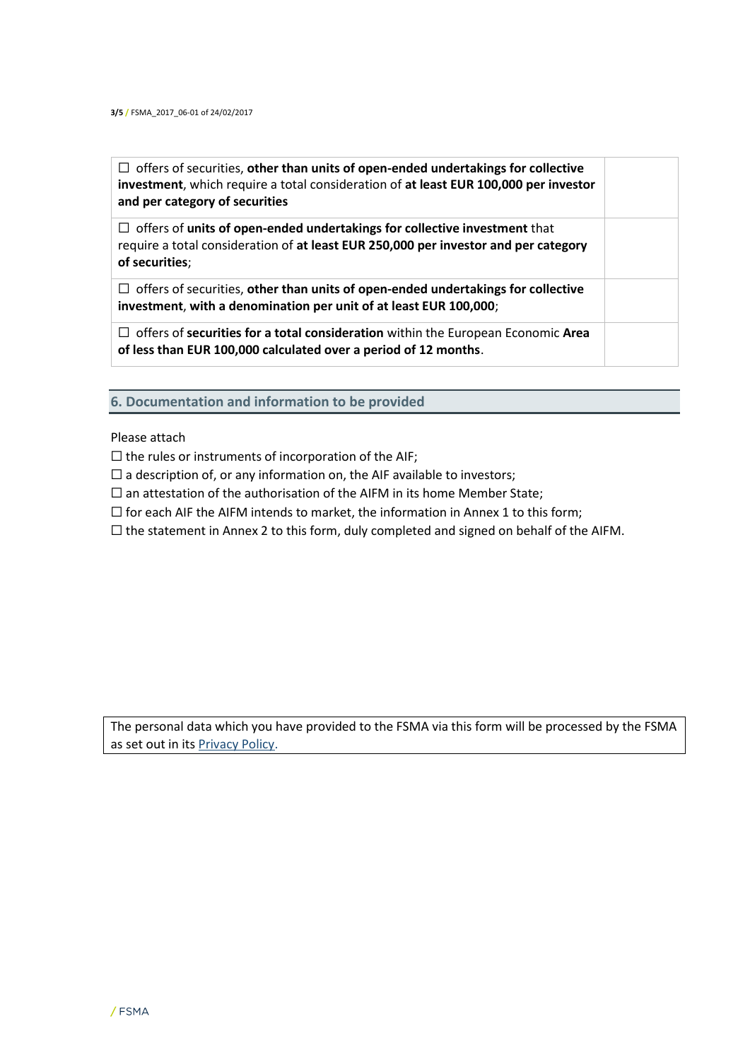☐ offers of securities, **other than units of open-ended undertakings for collective investment**, which require a total consideration of **at least EUR 100,000 per investor and per category of securities** ☐ offers of **units of open-ended undertakings for collective investment** that

require a total consideration of **at least EUR 250,000 per investor and per category of securities**;

☐ offers of securities, **other than units of open-ended undertakings for collective investment**, **with a denomination per unit of at least EUR 100,000**;

☐ offers of **securities for a total consideration** within the European Economic **Area of less than EUR 100,000 calculated over a period of 12 months**.

**6. Documentation and information to be provided**

Please attach

 $\Box$  the rules or instruments of incorporation of the AIF;

 $\Box$  a description of, or any information on, the AIF available to investors;

 $\Box$  an attestation of the authorisation of the AIFM in its home Member State;

 $\Box$  for each AIF the AIFM intends to market, the information in Annex 1 to this form;

 $\Box$  the statement in Annex 2 to this form, duly completed and signed on behalf of the AIFM.

The personal data which you have provided to the FSMA via this form will be processed by the FSMA as set out in it[s Privacy Policy.](https://www.fsma.be/en/faq/fsma-data-protection-policy)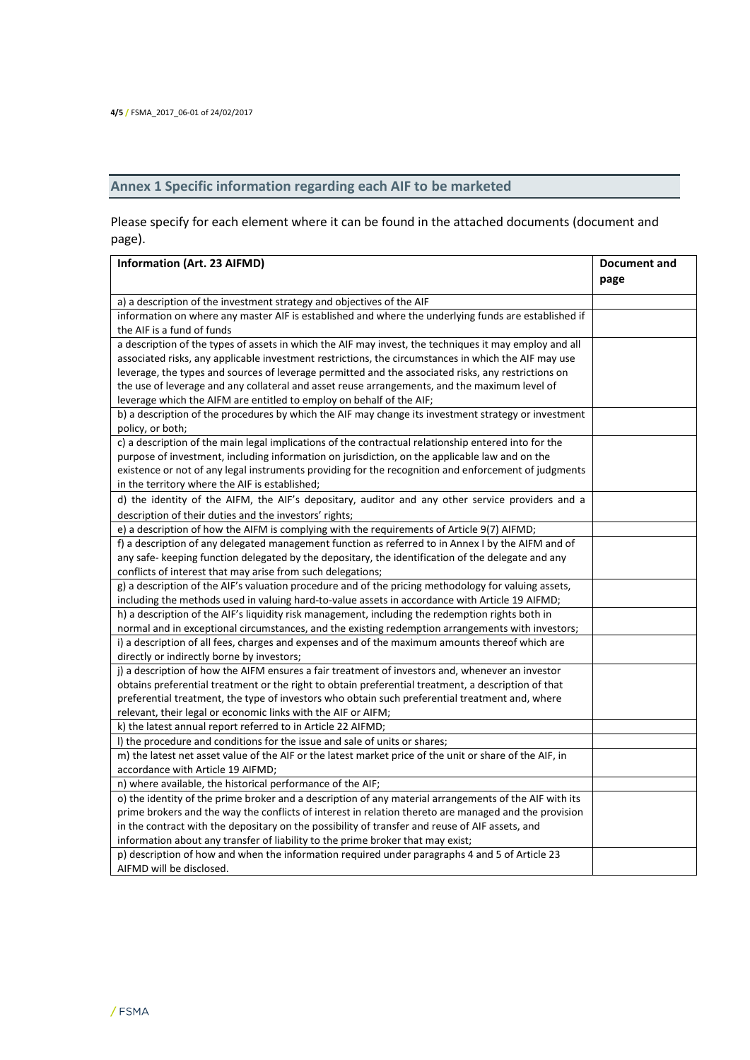## **Annex 1 Specific information regarding each AIF to be marketed**

Please specify for each element where it can be found in the attached documents (document and page).

| Information (Art. 23 AIFMD)                                                                             | Document and |
|---------------------------------------------------------------------------------------------------------|--------------|
|                                                                                                         | page         |
| a) a description of the investment strategy and objectives of the AIF                                   |              |
| information on where any master AIF is established and where the underlying funds are established if    |              |
| the AIF is a fund of funds                                                                              |              |
| a description of the types of assets in which the AIF may invest, the techniques it may employ and all  |              |
| associated risks, any applicable investment restrictions, the circumstances in which the AIF may use    |              |
| leverage, the types and sources of leverage permitted and the associated risks, any restrictions on     |              |
| the use of leverage and any collateral and asset reuse arrangements, and the maximum level of           |              |
| leverage which the AIFM are entitled to employ on behalf of the AIF;                                    |              |
| b) a description of the procedures by which the AIF may change its investment strategy or investment    |              |
| policy, or both;                                                                                        |              |
| c) a description of the main legal implications of the contractual relationship entered into for the    |              |
| purpose of investment, including information on jurisdiction, on the applicable law and on the          |              |
| existence or not of any legal instruments providing for the recognition and enforcement of judgments    |              |
| in the territory where the AIF is established;                                                          |              |
| d) the identity of the AIFM, the AIF's depositary, auditor and any other service providers and a        |              |
| description of their duties and the investors' rights;                                                  |              |
| e) a description of how the AIFM is complying with the requirements of Article 9(7) AIFMD;              |              |
| f) a description of any delegated management function as referred to in Annex I by the AIFM and of      |              |
| any safe-keeping function delegated by the depositary, the identification of the delegate and any       |              |
| conflicts of interest that may arise from such delegations;                                             |              |
| g) a description of the AIF's valuation procedure and of the pricing methodology for valuing assets,    |              |
| including the methods used in valuing hard-to-value assets in accordance with Article 19 AIFMD;         |              |
| h) a description of the AIF's liquidity risk management, including the redemption rights both in        |              |
| normal and in exceptional circumstances, and the existing redemption arrangements with investors;       |              |
| i) a description of all fees, charges and expenses and of the maximum amounts thereof which are         |              |
| directly or indirectly borne by investors;                                                              |              |
| j) a description of how the AIFM ensures a fair treatment of investors and, whenever an investor        |              |
| obtains preferential treatment or the right to obtain preferential treatment, a description of that     |              |
| preferential treatment, the type of investors who obtain such preferential treatment and, where         |              |
| relevant, their legal or economic links with the AIF or AIFM;                                           |              |
| k) the latest annual report referred to in Article 22 AIFMD;                                            |              |
| I) the procedure and conditions for the issue and sale of units or shares;                              |              |
| m) the latest net asset value of the AIF or the latest market price of the unit or share of the AIF, in |              |
| accordance with Article 19 AIFMD;                                                                       |              |
| n) where available, the historical performance of the AIF;                                              |              |
| o) the identity of the prime broker and a description of any material arrangements of the AIF with its  |              |
| prime brokers and the way the conflicts of interest in relation thereto are managed and the provision   |              |
| in the contract with the depositary on the possibility of transfer and reuse of AIF assets, and         |              |
| information about any transfer of liability to the prime broker that may exist;                         |              |
| p) description of how and when the information required under paragraphs 4 and 5 of Article 23          |              |
| AIFMD will be disclosed.                                                                                |              |